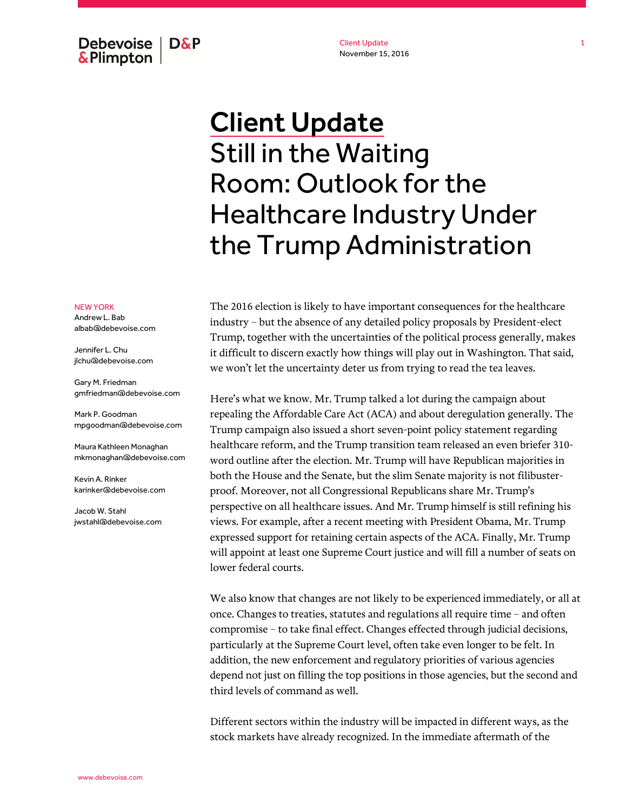Client Update November 15, 2016

## Debevoise  $\overline{ }$  D&P **&Plimpton**

# Client Update Still in the Waiting Room: Outlook for the Healthcare Industry Under the Trump Administration

The 2016 election is likely to have important consequences for the healthcare industry – but the absence of any detailed policy proposals by President-elect Trump, together with the uncertainties of the political process generally, makes it difficult to discern exactly how things will play out in Washington. That said, we won't let the uncertainty deter us from trying to read the tea leaves.

Here's what we know. Mr. Trump talked a lot during the campaign about repealing the Affordable Care Act (ACA) and about deregulation generally. The Trump campaign also issued a short seven-point policy statement regarding healthcare reform, and the Trump transition team released an even briefer 310 word outline after the election. Mr. Trump will have Republican majorities in both the House and the Senate, but the slim Senate majority is not filibusterproof. Moreover, not all Congressional Republicans share Mr. Trump's perspective on all healthcare issues. And Mr. Trump himself is still refining his views. For example, after a recent meeting with President Obama, Mr. Trump expressed support for retaining certain aspects of the ACA. Finally, Mr. Trump will appoint at least one Supreme Court justice and will fill a number of seats on lower federal courts.

We also know that changes are not likely to be experienced immediately, or all at once. Changes to treaties, statutes and regulations all require time – and often compromise – to take final effect. Changes effected through judicial decisions, particularly at the Supreme Court level, often take even longer to be felt. In addition, the new enforcement and regulatory priorities of various agencies depend not just on filling the top positions in those agencies, but the second and third levels of command as well.

Different sectors within the industry will be impacted in different ways, as the stock markets have already recognized. In the immediate aftermath of the

#### NEW YORK

Andrew L. Bab albab@debevoise.com

Jennifer L. Chu jlchu@debevoise.com

Gary M. Friedman gmfriedman@debevoise.com

Mark P. Goodman mpgoodman@debevoise.com

Maura Kathleen Monaghan mkmonaghan@debevoise.com

Kevin A. Rinker karinker@debevoise.com

Jacob W. Stahl jwstahl@debevoise.com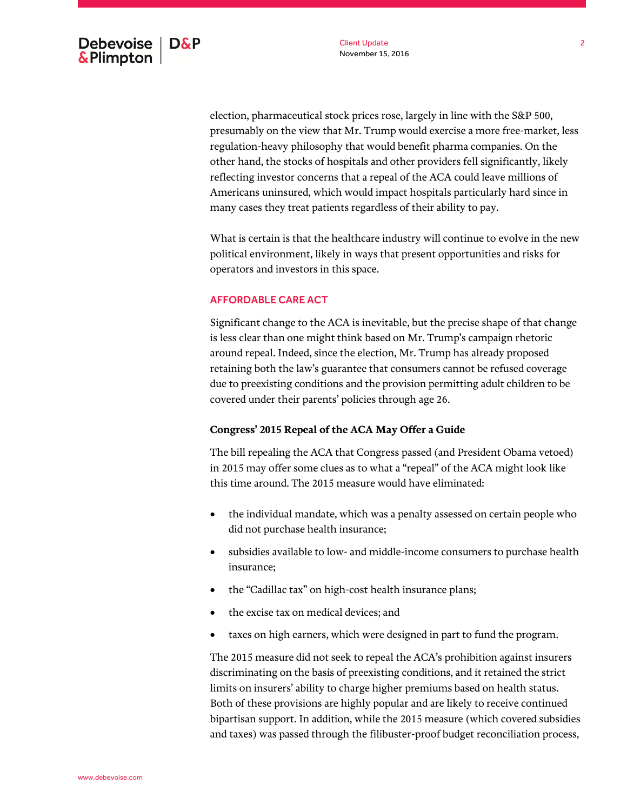election, pharmaceutical stock prices rose, largely in line with the S&P 500, presumably on the view that Mr. Trump would exercise a more free-market, less regulation-heavy philosophy that would benefit pharma companies. On the other hand, the stocks of hospitals and other providers fell significantly, likely reflecting investor concerns that a repeal of the ACA could leave millions of Americans uninsured, which would impact hospitals particularly hard since in many cases they treat patients regardless of their ability to pay.

What is certain is that the healthcare industry will continue to evolve in the new political environment, likely in ways that present opportunities and risks for operators and investors in this space.

#### AFFORDABLE CARE ACT

Significant change to the ACA is inevitable, but the precise shape of that change is less clear than one might think based on Mr. Trump's campaign rhetoric around repeal. Indeed, since the election, Mr. Trump has already proposed retaining both the law's guarantee that consumers cannot be refused coverage due to preexisting conditions and the provision permitting adult children to be covered under their parents' policies through age 26.

#### **Congress' 2015 Repeal of the ACA May Offer a Guide**

The bill repealing the ACA that Congress passed (and President Obama vetoed) in 2015 may offer some clues as to what a "repeal" of the ACA might look like this time around. The 2015 measure would have eliminated:

- the individual mandate, which was a penalty assessed on certain people who did not purchase health insurance;
- subsidies available to low- and middle-income consumers to purchase health insurance;
- the "Cadillac tax" on high-cost health insurance plans;
- the excise tax on medical devices; and
- taxes on high earners, which were designed in part to fund the program.

The 2015 measure did not seek to repeal the ACA's prohibition against insurers discriminating on the basis of preexisting conditions, and it retained the strict limits on insurers' ability to charge higher premiums based on health status. Both of these provisions are highly popular and are likely to receive continued bipartisan support. In addition, while the 2015 measure (which covered subsidies and taxes) was passed through the filibuster-proof budget reconciliation process,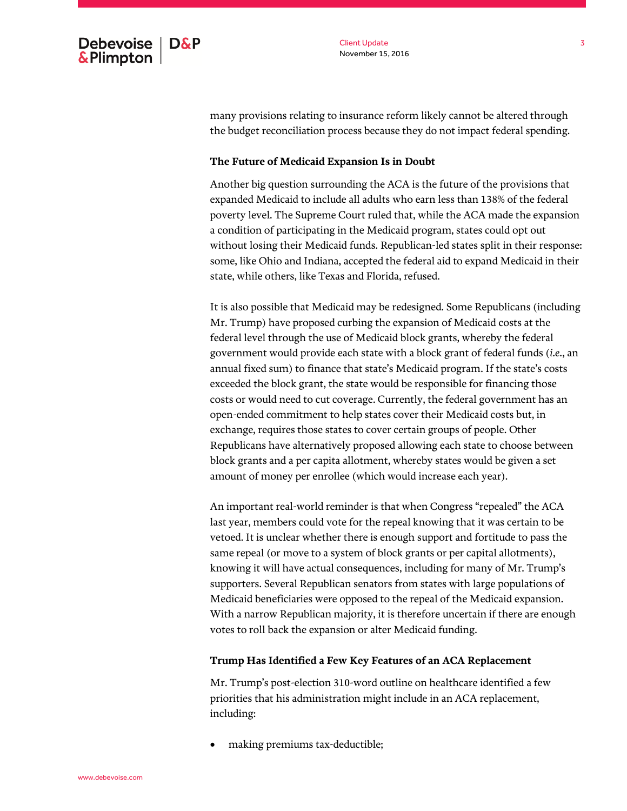many provisions relating to insurance reform likely cannot be altered through the budget reconciliation process because they do not impact federal spending.

#### **The Future of Medicaid Expansion Is in Doubt**

Another big question surrounding the ACA is the future of the provisions that expanded Medicaid to include all adults who earn less than 138% of the federal poverty level. The Supreme Court ruled that, while the ACA made the expansion a condition of participating in the Medicaid program, states could opt out without losing their Medicaid funds. Republican-led states split in their response: some, like Ohio and Indiana, accepted the federal aid to expand Medicaid in their state, while others, like Texas and Florida, refused.

It is also possible that Medicaid may be redesigned. Some Republicans (including Mr. Trump) have proposed curbing the expansion of Medicaid costs at the federal level through the use of Medicaid block grants, whereby the federal government would provide each state with a block grant of federal funds (*i.e.*, an annual fixed sum) to finance that state's Medicaid program. If the state's costs exceeded the block grant, the state would be responsible for financing those costs or would need to cut coverage. Currently, the federal government has an open-ended commitment to help states cover their Medicaid costs but, in exchange, requires those states to cover certain groups of people. Other Republicans have alternatively proposed allowing each state to choose between block grants and a per capita allotment, whereby states would be given a set amount of money per enrollee (which would increase each year).

An important real-world reminder is that when Congress "repealed" the ACA last year, members could vote for the repeal knowing that it was certain to be vetoed. It is unclear whether there is enough support and fortitude to pass the same repeal (or move to a system of block grants or per capital allotments), knowing it will have actual consequences, including for many of Mr. Trump's supporters. Several Republican senators from states with large populations of Medicaid beneficiaries were opposed to the repeal of the Medicaid expansion. With a narrow Republican majority, it is therefore uncertain if there are enough votes to roll back the expansion or alter Medicaid funding.

#### **Trump Has Identified a Few Key Features of an ACA Replacement**

Mr. Trump's post-election 310-word outline on healthcare identified a few priorities that his administration might include in an ACA replacement, including:

making premiums tax-deductible;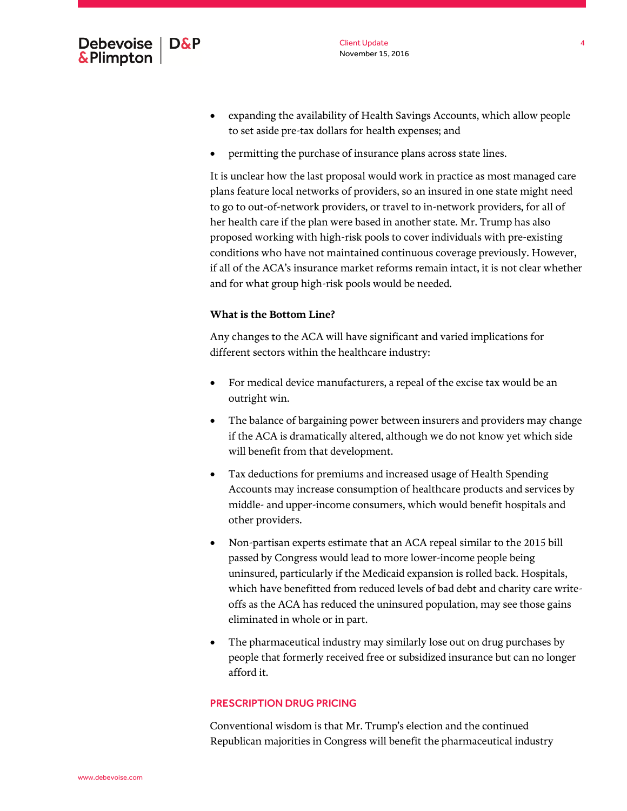

- expanding the availability of Health Savings Accounts, which allow people to set aside pre-tax dollars for health expenses; and
- permitting the purchase of insurance plans across state lines.

It is unclear how the last proposal would work in practice as most managed care plans feature local networks of providers, so an insured in one state might need to go to out-of-network providers, or travel to in-network providers, for all of her health care if the plan were based in another state. Mr. Trump has also proposed working with high-risk pools to cover individuals with pre-existing conditions who have not maintained continuous coverage previously. However, if all of the ACA's insurance market reforms remain intact, it is not clear whether and for what group high-risk pools would be needed.

#### **What is the Bottom Line?**

Any changes to the ACA will have significant and varied implications for different sectors within the healthcare industry:

- For medical device manufacturers, a repeal of the excise tax would be an outright win.
- The balance of bargaining power between insurers and providers may change if the ACA is dramatically altered, although we do not know yet which side will benefit from that development.
- Tax deductions for premiums and increased usage of Health Spending Accounts may increase consumption of healthcare products and services by middle- and upper-income consumers, which would benefit hospitals and other providers.
- Non-partisan experts estimate that an ACA repeal similar to the 2015 bill passed by Congress would lead to more lower-income people being uninsured, particularly if the Medicaid expansion is rolled back. Hospitals, which have benefitted from reduced levels of bad debt and charity care writeoffs as the ACA has reduced the uninsured population, may see those gains eliminated in whole or in part.
- The pharmaceutical industry may similarly lose out on drug purchases by people that formerly received free or subsidized insurance but can no longer afford it.

#### PRESCRIPTION DRUG PRICING

Conventional wisdom is that Mr. Trump's election and the continued Republican majorities in Congress will benefit the pharmaceutical industry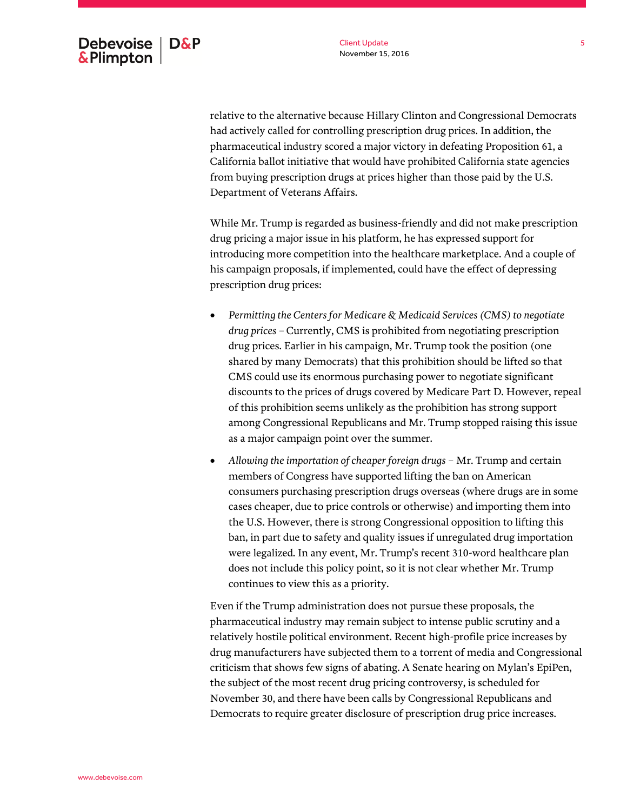relative to the alternative because Hillary Clinton and Congressional Democrats had actively called for controlling prescription drug prices. In addition, the pharmaceutical industry scored a major victory in defeating Proposition 61, a California ballot initiative that would have prohibited California state agencies from buying prescription drugs at prices higher than those paid by the U.S. Department of Veterans Affairs.

While Mr. Trump is regarded as business-friendly and did not make prescription drug pricing a major issue in his platform, he has expressed support for introducing more competition into the healthcare marketplace. And a couple of his campaign proposals, if implemented, could have the effect of depressing prescription drug prices:

- *Permitting the Centers for Medicare & Medicaid Services (CMS) to negotiate drug prices –* Currently, CMS is prohibited from negotiating prescription drug prices. Earlier in his campaign, Mr. Trump took the position (one shared by many Democrats) that this prohibition should be lifted so that CMS could use its enormous purchasing power to negotiate significant discounts to the prices of drugs covered by Medicare Part D. However, repeal of this prohibition seems unlikely as the prohibition has strong support among Congressional Republicans and Mr. Trump stopped raising this issue as a major campaign point over the summer.
- *Allowing the importation of cheaper foreign drugs* Mr. Trump and certain members of Congress have supported lifting the ban on American consumers purchasing prescription drugs overseas (where drugs are in some cases cheaper, due to price controls or otherwise) and importing them into the U.S. However, there is strong Congressional opposition to lifting this ban, in part due to safety and quality issues if unregulated drug importation were legalized. In any event, Mr. Trump's recent 310-word healthcare plan does not include this policy point, so it is not clear whether Mr. Trump continues to view this as a priority.

Even if the Trump administration does not pursue these proposals, the pharmaceutical industry may remain subject to intense public scrutiny and a relatively hostile political environment. Recent high-profile price increases by drug manufacturers have subjected them to a torrent of media and Congressional criticism that shows few signs of abating. A Senate hearing on Mylan's EpiPen, the subject of the most recent drug pricing controversy, is scheduled for November 30, and there have been calls by Congressional Republicans and Democrats to require greater disclosure of prescription drug price increases.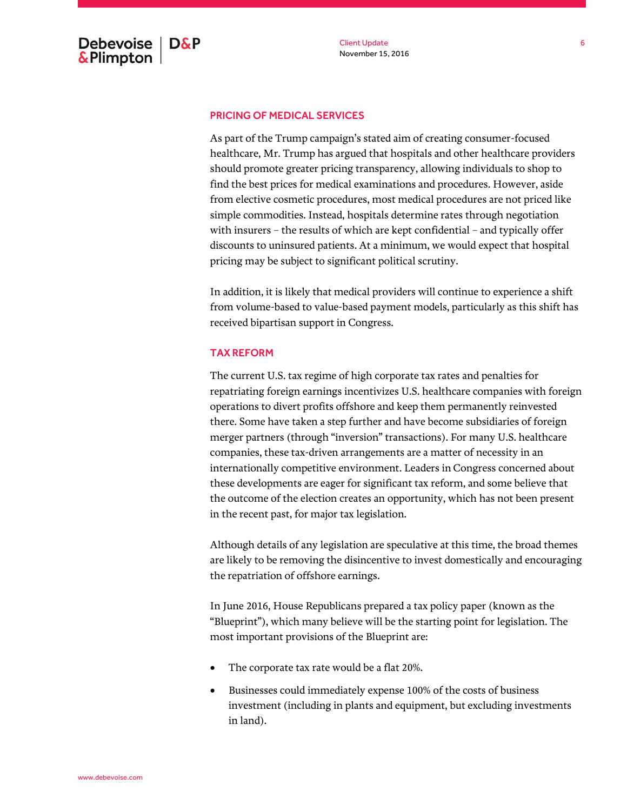### PRICING OF MEDICAL SERVICES

As part of the Trump campaign's stated aim of creating consumer-focused healthcare, Mr. Trump has argued that hospitals and other healthcare providers should promote greater pricing transparency, allowing individuals to shop to find the best prices for medical examinations and procedures. However, aside from elective cosmetic procedures, most medical procedures are not priced like simple commodities. Instead, hospitals determine rates through negotiation with insurers – the results of which are kept confidential – and typically offer discounts to uninsured patients. At a minimum, we would expect that hospital pricing may be subject to significant political scrutiny.

In addition, it is likely that medical providers will continue to experience a shift from volume-based to value-based payment models, particularly as this shift has received bipartisan support in Congress.

#### TAX REFORM

The current U.S. tax regime of high corporate tax rates and penalties for repatriating foreign earnings incentivizes U.S. healthcare companies with foreign operations to divert profits offshore and keep them permanently reinvested there. Some have taken a step further and have become subsidiaries of foreign merger partners (through "inversion" transactions). For many U.S. healthcare companies, these tax-driven arrangements are a matter of necessity in an internationally competitive environment. Leaders in Congress concerned about these developments are eager for significant tax reform, and some believe that the outcome of the election creates an opportunity, which has not been present in the recent past, for major tax legislation.

Although details of any legislation are speculative at this time, the broad themes are likely to be removing the disincentive to invest domestically and encouraging the repatriation of offshore earnings.

In June 2016, House Republicans prepared a tax policy paper (known as the "Blueprint"), which many believe will be the starting point for legislation. The most important provisions of the Blueprint are:

- The corporate tax rate would be a flat 20%.
- Businesses could immediately expense 100% of the costs of business investment (including in plants and equipment, but excluding investments in land).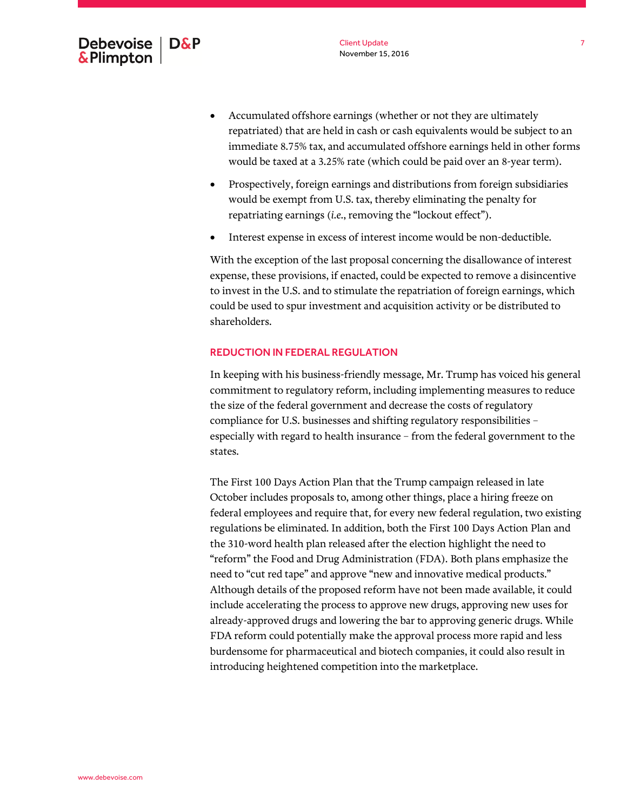www.debevoise.com

- Accumulated offshore earnings (whether or not they are ultimately repatriated) that are held in cash or cash equivalents would be subject to an immediate 8.75% tax, and accumulated offshore earnings held in other forms would be taxed at a 3.25% rate (which could be paid over an 8-year term).
- Prospectively, foreign earnings and distributions from foreign subsidiaries would be exempt from U.S. tax, thereby eliminating the penalty for repatriating earnings (*i.e.*, removing the "lockout effect").
- Interest expense in excess of interest income would be non-deductible.

With the exception of the last proposal concerning the disallowance of interest expense, these provisions, if enacted, could be expected to remove a disincentive to invest in the U.S. and to stimulate the repatriation of foreign earnings, which could be used to spur investment and acquisition activity or be distributed to shareholders.

#### REDUCTION IN FEDERAL REGULATION

In keeping with his business-friendly message, Mr. Trump has voiced his general commitment to regulatory reform, including implementing measures to reduce the size of the federal government and decrease the costs of regulatory compliance for U.S. businesses and shifting regulatory responsibilities – especially with regard to health insurance – from the federal government to the states.

The First 100 Days Action Plan that the Trump campaign released in late October includes proposals to, among other things, place a hiring freeze on federal employees and require that, for every new federal regulation, two existing regulations be eliminated. In addition, both the First 100 Days Action Plan and the 310-word health plan released after the election highlight the need to "reform" the Food and Drug Administration (FDA). Both plans emphasize the need to "cut red tape" and approve "new and innovative medical products." Although details of the proposed reform have not been made available, it could include accelerating the process to approve new drugs, approving new uses for already-approved drugs and lowering the bar to approving generic drugs. While FDA reform could potentially make the approval process more rapid and less burdensome for pharmaceutical and biotech companies, it could also result in introducing heightened competition into the marketplace.

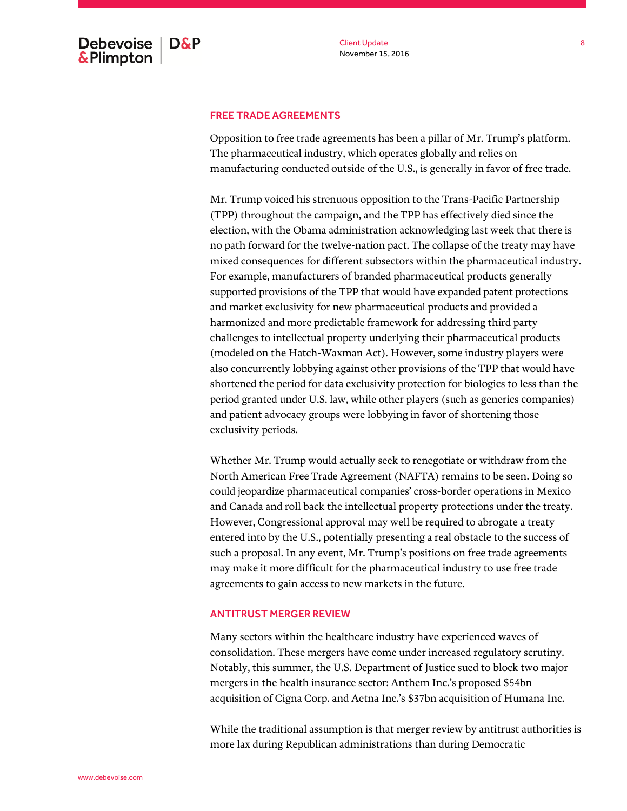#### FREE TRADE AGREEMENTS

Opposition to free trade agreements has been a pillar of Mr. Trump's platform. The pharmaceutical industry, which operates globally and relies on manufacturing conducted outside of the U.S., is generally in favor of free trade.

Mr. Trump voiced his strenuous opposition to the Trans-Pacific Partnership (TPP) throughout the campaign, and the TPP has effectively died since the election, with the Obama administration acknowledging last week that there is no path forward for the twelve-nation pact. The collapse of the treaty may have mixed consequences for different subsectors within the pharmaceutical industry. For example, manufacturers of branded pharmaceutical products generally supported provisions of the TPP that would have expanded patent protections and market exclusivity for new pharmaceutical products and provided a harmonized and more predictable framework for addressing third party challenges to intellectual property underlying their pharmaceutical products (modeled on the Hatch-Waxman Act). However, some industry players were also concurrently lobbying against other provisions of the TPP that would have shortened the period for data exclusivity protection for biologics to less than the period granted under U.S. law, while other players (such as generics companies) and patient advocacy groups were lobbying in favor of shortening those exclusivity periods.

Whether Mr. Trump would actually seek to renegotiate or withdraw from the North American Free Trade Agreement (NAFTA) remains to be seen. Doing so could jeopardize pharmaceutical companies' cross-border operations in Mexico and Canada and roll back the intellectual property protections under the treaty. However, Congressional approval may well be required to abrogate a treaty entered into by the U.S., potentially presenting a real obstacle to the success of such a proposal. In any event, Mr. Trump's positions on free trade agreements may make it more difficult for the pharmaceutical industry to use free trade agreements to gain access to new markets in the future.

#### ANTITRUST MERGER REVIEW

Many sectors within the healthcare industry have experienced waves of consolidation. These mergers have come under increased regulatory scrutiny. Notably, this summer, the U.S. Department of Justice sued to block two major mergers in the health insurance sector: Anthem Inc.'s proposed \$54bn acquisition of Cigna Corp. and Aetna Inc.'s \$37bn acquisition of Humana Inc.

While the traditional assumption is that merger review by antitrust authorities is more lax during Republican administrations than during Democratic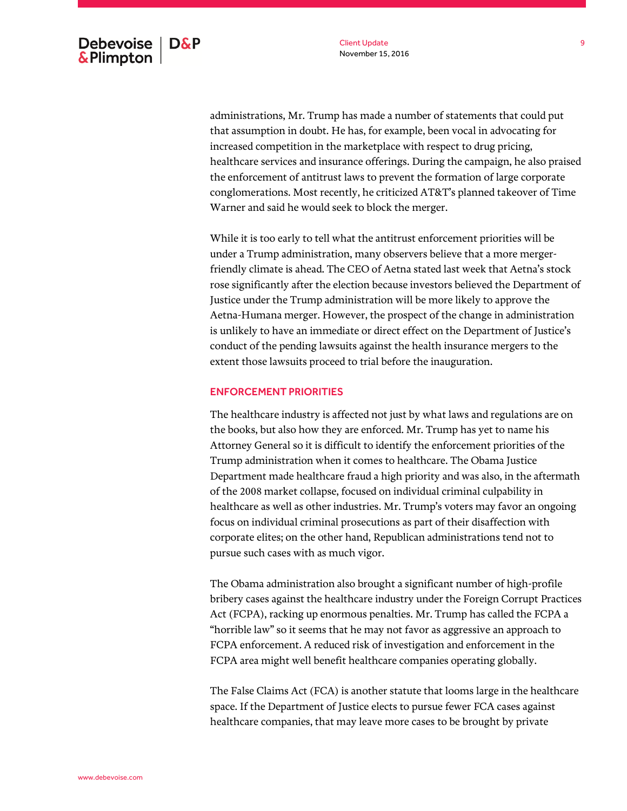administrations, Mr. Trump has made a number of statements that could put that assumption in doubt. He has, for example, been vocal in advocating for increased competition in the marketplace with respect to drug pricing, healthcare services and insurance offerings. During the campaign, he also praised the enforcement of antitrust laws to prevent the formation of large corporate conglomerations. Most recently, he criticized AT&T's planned takeover of Time Warner and said he would seek to block the merger.

While it is too early to tell what the antitrust enforcement priorities will be under a Trump administration, many observers believe that a more mergerfriendly climate is ahead. The CEO of Aetna stated last week that Aetna's stock rose significantly after the election because investors believed the Department of Justice under the Trump administration will be more likely to approve the Aetna-Humana merger. However, the prospect of the change in administration is unlikely to have an immediate or direct effect on the Department of Justice's conduct of the pending lawsuits against the health insurance mergers to the extent those lawsuits proceed to trial before the inauguration.

#### ENFORCEMENT PRIORITIES

The healthcare industry is affected not just by what laws and regulations are on the books, but also how they are enforced. Mr. Trump has yet to name his Attorney General so it is difficult to identify the enforcement priorities of the Trump administration when it comes to healthcare. The Obama Justice Department made healthcare fraud a high priority and was also, in the aftermath of the 2008 market collapse, focused on individual criminal culpability in healthcare as well as other industries. Mr. Trump's voters may favor an ongoing focus on individual criminal prosecutions as part of their disaffection with corporate elites; on the other hand, Republican administrations tend not to pursue such cases with as much vigor.

The Obama administration also brought a significant number of high-profile bribery cases against the healthcare industry under the Foreign Corrupt Practices Act (FCPA), racking up enormous penalties. Mr. Trump has called the FCPA a "horrible law" so it seems that he may not favor as aggressive an approach to FCPA enforcement. A reduced risk of investigation and enforcement in the FCPA area might well benefit healthcare companies operating globally.

The False Claims Act (FCA) is another statute that looms large in the healthcare space. If the Department of Justice elects to pursue fewer FCA cases against healthcare companies, that may leave more cases to be brought by private